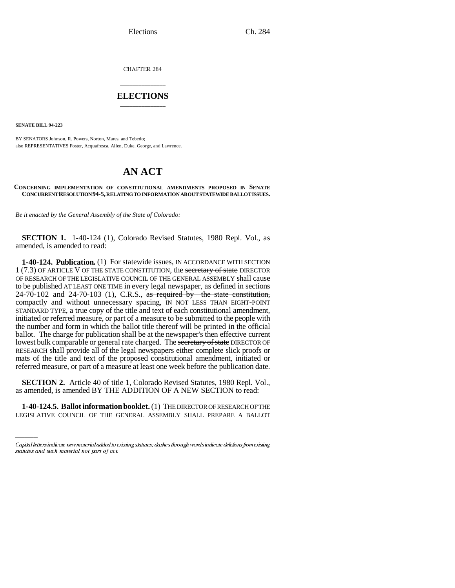Elections Ch. 284

CHAPTER 284

## \_\_\_\_\_\_\_\_\_\_\_\_\_\_\_ **ELECTIONS** \_\_\_\_\_\_\_\_\_\_\_\_\_\_\_

**SENATE BILL 94-223**

BY SENATORS Johnson, R. Powers, Norton, Mares, and Tebedo; also REPRESENTATIVES Foster, Acquafresca, Allen, Duke, George, and Lawrence.

## **AN ACT**

## **CONCERNING IMPLEMENTATION OF CONSTITUTIONAL AMENDMENTS PROPOSED IN SENATE CONCURRENT RESOLUTION 94-5, RELATING TO INFORMATION ABOUT STATEWIDE BALLOT ISSUES.**

*Be it enacted by the General Assembly of the State of Colorado:*

**SECTION 1.** 1-40-124 (1), Colorado Revised Statutes, 1980 Repl. Vol., as amended, is amended to read:

**1-40-124. Publication.** (1) For statewide issues, IN ACCORDANCE WITH SECTION 1 (7.3) OF ARTICLE V OF THE STATE CONSTITUTION, the secretary of state DIRECTOR OF RESEARCH OF THE LEGISLATIVE COUNCIL OF THE GENERAL ASSEMBLY shall cause to be published AT LEAST ONE TIME in every legal newspaper, as defined in sections  $24-70-102$  and  $24-70-103$  (1), C.R.S., as required by the state constitution, compactly and without unnecessary spacing, IN NOT LESS THAN EIGHT-POINT STANDARD TYPE, a true copy of the title and text of each constitutional amendment, initiated or referred measure, or part of a measure to be submitted to the people with the number and form in which the ballot title thereof will be printed in the official ballot. The charge for publication shall be at the newspaper's then effective current lowest bulk comparable or general rate charged. The secretary of state DIRECTOR OF RESEARCH shall provide all of the legal newspapers either complete slick proofs or mats of the title and text of the proposed constitutional amendment, initiated or referred measure, or part of a measure at least one week before the publication date.

 **SECTION 2.** Article 40 of title 1, Colorado Revised Statutes, 1980 Repl. Vol., as amended, is amended BY THE ADDITION OF A NEW SECTION to read:

**1-40-124.5. Ballot information booklet.** (1) THE DIRECTOR OF RESEARCH OF THE LEGISLATIVE COUNCIL OF THE GENERAL ASSEMBLY SHALL PREPARE A BALLOT

Capital letters indicate new material added to existing statutes; dashes through words indicate deletions from existing statutes and such material not part of act.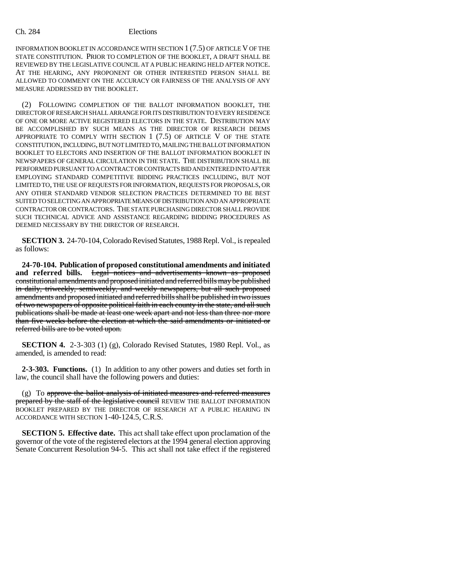INFORMATION BOOKLET IN ACCORDANCE WITH SECTION 1 (7.5) OF ARTICLE V OF THE STATE CONSTITUTION. PRIOR TO COMPLETION OF THE BOOKLET, A DRAFT SHALL BE REVIEWED BY THE LEGISLATIVE COUNCIL AT A PUBLIC HEARING HELD AFTER NOTICE. AT THE HEARING, ANY PROPONENT OR OTHER INTERESTED PERSON SHALL BE ALLOWED TO COMMENT ON THE ACCURACY OR FAIRNESS OF THE ANALYSIS OF ANY MEASURE ADDRESSED BY THE BOOKLET.

(2) FOLLOWING COMPLETION OF THE BALLOT INFORMATION BOOKLET, THE DIRECTOR OF RESEARCH SHALL ARRANGE FOR ITS DISTRIBUTION TO EVERY RESIDENCE OF ONE OR MORE ACTIVE REGISTERED ELECTORS IN THE STATE. DISTRIBUTION MAY BE ACCOMPLISHED BY SUCH MEANS AS THE DIRECTOR OF RESEARCH DEEMS APPROPRIATE TO COMPLY WITH SECTION 1 (7.5) OF ARTICLE V OF THE STATE CONSTITUTION, INCLUDING, BUT NOT LIMITED TO, MAILING THE BALLOT INFORMATION BOOKLET TO ELECTORS AND INSERTION OF THE BALLOT INFORMATION BOOKLET IN NEWSPAPERS OF GENERAL CIRCULATION IN THE STATE. THE DISTRIBUTION SHALL BE PERFORMED PURSUANT TO A CONTRACT OR CONTRACTS BID AND ENTERED INTO AFTER EMPLOYING STANDARD COMPETITIVE BIDDING PRACTICES INCLUDING, BUT NOT LIMITED TO, THE USE OF REQUESTS FOR INFORMATION, REQUESTS FOR PROPOSALS, OR ANY OTHER STANDARD VENDOR SELECTION PRACTICES DETERMINED TO BE BEST SUITED TO SELECTING AN APPROPRIATE MEANS OF DISTRIBUTION AND AN APPROPRIATE CONTRACTOR OR CONTRACTORS. THE STATE PURCHASING DIRECTOR SHALL PROVIDE SUCH TECHNICAL ADVICE AND ASSISTANCE REGARDING BIDDING PROCEDURES AS DEEMED NECESSARY BY THE DIRECTOR OF RESEARCH.

**SECTION 3.** 24-70-104, Colorado Revised Statutes, 1988 Repl. Vol., is repealed as follows:

**24-70-104. Publication of proposed constitutional amendments and initiated** and referred bills. Legal notices and advertisements known as proposed constitutional amendments and proposed initiated and referred bills may be published in daily, triweekly, semiweekly, and weekly newspapers, but all such proposed amendments and proposed initiated and referred bills shall be published in two issues of two newspapers of opposite political faith in each county in the state, and all such publications shall be made at least one week apart and not less than three nor more than five weeks before the election at which the said amendments or initiated or referred bills are to be voted upon.

**SECTION 4.** 2-3-303 (1) (g), Colorado Revised Statutes, 1980 Repl. Vol., as amended, is amended to read:

**2-3-303. Functions.** (1) In addition to any other powers and duties set forth in law, the council shall have the following powers and duties:

 $(g)$  To approve the ballot analysis of initiated measures and referred measures prepared by the staff of the legislative council REVIEW THE BALLOT INFORMATION BOOKLET PREPARED BY THE DIRECTOR OF RESEARCH AT A PUBLIC HEARING IN ACCORDANCE WITH SECTION 1-40-124.5, C.R.S.

**SECTION 5. Effective date.** This act shall take effect upon proclamation of the governor of the vote of the registered electors at the 1994 general election approving Senate Concurrent Resolution 94-5. This act shall not take effect if the registered